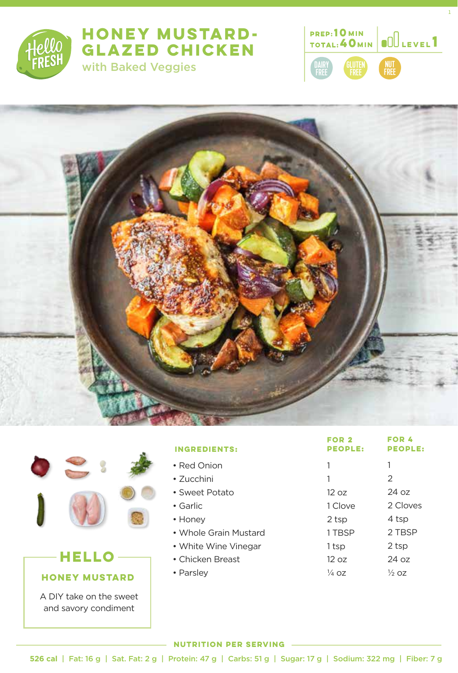

## **HONEY MUSTARD-GLAZED CHICKEN**  with Baked Veggies



1





# **HONEY MUSTARD HELLO**

A DIY take on the sweet and savory condiment

| <b>INGREDIENTS:</b>   | FOR <sub>2</sub><br><b>PEOPLE:</b> | <b>FOR 4</b><br><b>PEOPLE:</b> |
|-----------------------|------------------------------------|--------------------------------|
| • Red Onion           | 1                                  | 1                              |
| $\bullet$ Zucchini    | 1                                  | 2                              |
| • Sweet Potato        | 12 oz                              | 24 oz                          |
| • Garlic              | 1 Clove                            | 2 Cloves                       |
| • Honey               | 2 tsp                              | 4 tsp                          |
| • Whole Grain Mustard | 1 TBSP                             | 2 TBSP                         |
| • White Wine Vinegar  | 1 tsp                              | 2 tsp                          |
| • Chicken Breast      | 12 oz                              | 24 oz                          |
| • Parsley             | 1⁄4 OZ                             | $\frac{1}{2}$ oz               |

### **NUTRITION PER SERVING**